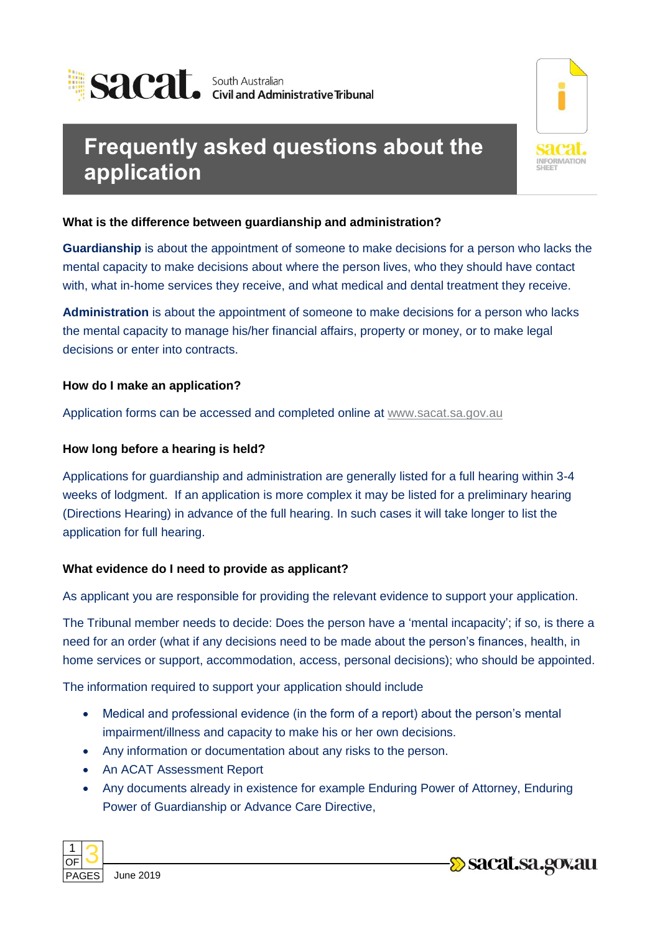



# **Frequently asked questions about the application**

**What is the difference between guardianship and administration?** 

**Guardianship** is about the appointment of someone to make decisions for a person who lacks the mental capacity to make decisions about where the person lives, who they should have contact with, what in-home services they receive, and what medical and dental treatment they receive.

**Administration** is about the appointment of someone to make decisions for a person who lacks the mental capacity to manage his/her financial affairs, property or money, or to make legal decisions or enter into contracts.

**How do I make an application?** 

Application forms can be accessed and completed online at [www.sacat.sa.gov.au](http://www.sacat.sa.gov.au/)

# **How long before a hearing is held?**

Applications for guardianship and administration are generally listed for a full hearing within 3-4 weeks of lodgment. If an application is more complex it may be listed for a preliminary hearing (Directions Hearing) in advance of the full hearing. In such cases it will take longer to list the application for full hearing.

# **What evidence do I need to provide as applicant?**

As applicant you are responsible for providing the relevant evidence to support your application.

The Tribunal member needs to decide: Does the person have a 'mental incapacity'; if so, is there a need for an order (what if any decisions need to be made about the person's finances, health, in home services or support, accommodation, access, personal decisions); who should be appointed.

The information required to support your application should include

- Medical and professional evidence (in the form of a report) about the person's mental impairment/illness and capacity to make his or her own decisions.
- Any information or documentation about any risks to the person.
- An ACAT Assessment Report
- Any documents already in existence for example Enduring Power of Attorney, Enduring Power of Guardianship or Advance Care Directive,



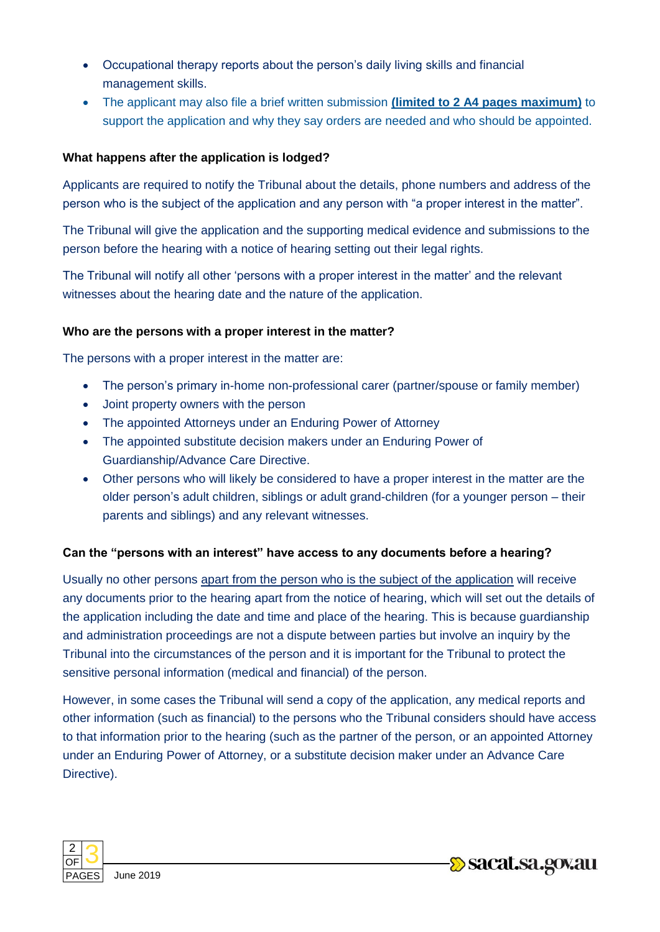- Occupational therapy reports about the person's daily living skills and financial management skills.
- The applicant may also file a brief written submission **(limited to 2 A4 pages maximum)** to support the application and why they say orders are needed and who should be appointed.

# **What happens after the application is lodged?**

Applicants are required to notify the Tribunal about the details, phone numbers and address of the person who is the subject of the application and any person with "a proper interest in the matter".

The Tribunal will give the application and the supporting medical evidence and submissions to the person before the hearing with a notice of hearing setting out their legal rights.

The Tribunal will notify all other 'persons with a proper interest in the matter' and the relevant witnesses about the hearing date and the nature of the application.

### **Who are the persons with a proper interest in the matter?**

The persons with a proper interest in the matter are:

- The person's primary in-home non-professional carer (partner/spouse or family member)
- Joint property owners with the person
- The appointed Attorneys under an Enduring Power of Attorney
- The appointed substitute decision makers under an Enduring Power of Guardianship/Advance Care Directive.
- Other persons who will likely be considered to have a proper interest in the matter are the older person's adult children, siblings or adult grand-children (for a younger person – their parents and siblings) and any relevant witnesses.

### **Can the "persons with an interest" have access to any documents before a hearing?**

Usually no other persons apart from the person who is the subject of the application will receive any documents prior to the hearing apart from the notice of hearing, which will set out the details of the application including the date and time and place of the hearing. This is because guardianship and administration proceedings are not a dispute between parties but involve an inquiry by the Tribunal into the circumstances of the person and it is important for the Tribunal to protect the sensitive personal information (medical and financial) of the person.

However, in some cases the Tribunal will send a copy of the application, any medical reports and other information (such as financial) to the persons who the Tribunal considers should have access to that information prior to the hearing (such as the partner of the person, or an appointed Attorney under an Enduring Power of Attorney, or a substitute decision maker under an Advance Care Directive).

**Designal Sacat Sacro Second**